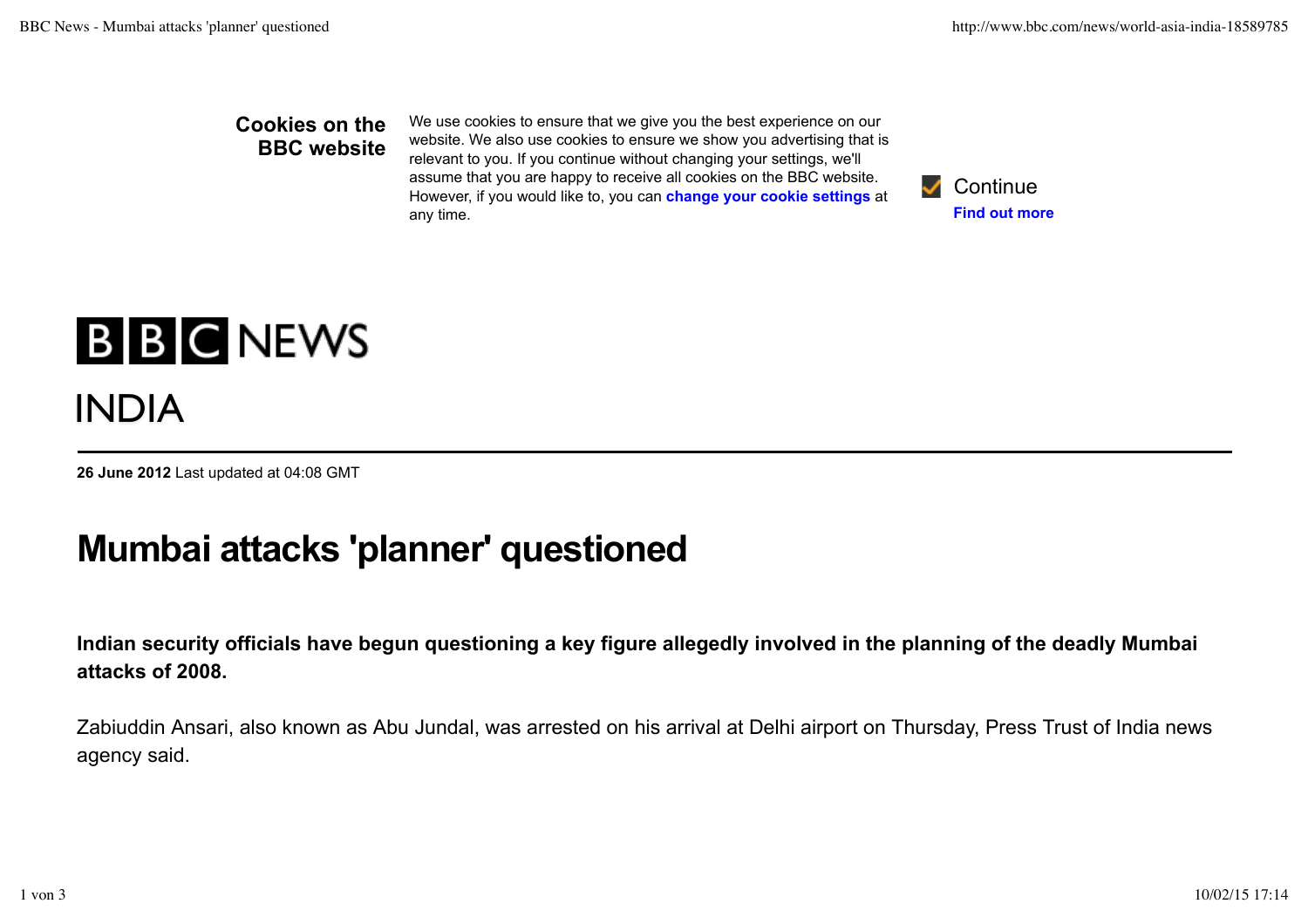## **Cookies on the BBC website**

We use cookies to ensure that we give you the best experience on our website. We also use cookies to ensure we show you advertising that is relevant to you. If you continue without changing your settings, we'll assume that you are happy to receive all cookies on the BBC website. However, if you would like to, you can **change your cookie settings** at any time.



## **B B C NEWS** INDIA

**26 June 2012** Last updated at 04:08 GMT

## **Mumbai attacks 'planner' questioned**

**Indian security officials have begun questioning a key figure allegedly involved in the planning of the deadly Mumbai attacks of 2008.**

Zabiuddin Ansari, also known as Abu Jundal, was arrested on his arrival at Delhi airport on Thursday, Press Trust of India news agency said.